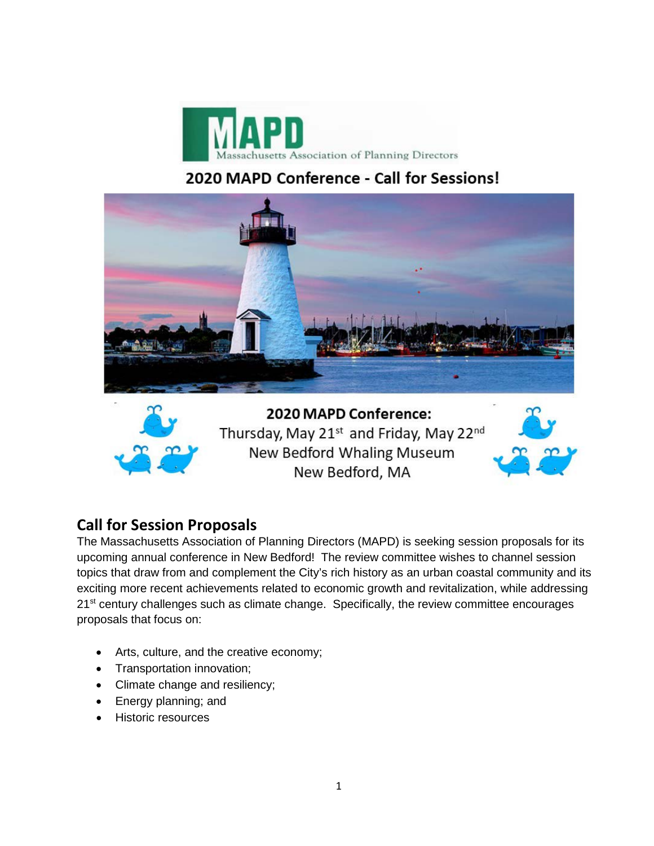

## 2020 MAPD Conference - Call for Sessions!





2020 MAPD Conference: Thursday, May 21<sup>st</sup> and Friday, May 22<sup>nd</sup> New Bedford Whaling Museum New Bedford, MA

## **Call for Session Proposals**

The Massachusetts Association of Planning Directors (MAPD) is seeking session proposals for its upcoming annual conference in New Bedford! The review committee wishes to channel session topics that draw from and complement the City's rich history as an urban coastal community and its exciting more recent achievements related to economic growth and revitalization, while addressing 21<sup>st</sup> century challenges such as climate change. Specifically, the review committee encourages proposals that focus on:

- Arts, culture, and the creative economy;
- Transportation innovation;
- Climate change and resiliency;
- Energy planning; and
- **Historic resources**